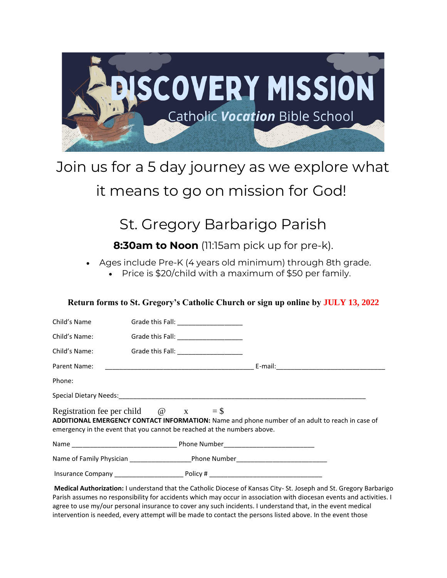

# Join us for a 5 day journey as we explore what

### it means to go on mission for God!

## St. Gregory Barbarigo Parish

**8:30am to Noon** (11:15am pick up for pre-k).

Ages include Pre-K (4 years old minimum) through 8th grade.

Price is \$20/child with a maximum of \$50 per family.

### **Return forms to St. Gregory's Catholic Church or sign up online by JULY 13, 2022**

| Child's Name                                                                                                                                                                                                             | Grade this Fall: __________________    |  |
|--------------------------------------------------------------------------------------------------------------------------------------------------------------------------------------------------------------------------|----------------------------------------|--|
| Child's Name:                                                                                                                                                                                                            | Grade this Fall: _____________________ |  |
|                                                                                                                                                                                                                          |                                        |  |
|                                                                                                                                                                                                                          |                                        |  |
| Phone:                                                                                                                                                                                                                   |                                        |  |
|                                                                                                                                                                                                                          |                                        |  |
| Registration fee per child $\omega$ x = \$<br>ADDITIONAL EMERGENCY CONTACT INFORMATION: Name and phone number of an adult to reach in case of<br>emergency in the event that you cannot be reached at the numbers above. |                                        |  |
|                                                                                                                                                                                                                          |                                        |  |
|                                                                                                                                                                                                                          |                                        |  |
|                                                                                                                                                                                                                          |                                        |  |

**Medical Authorization:** I understand that the Catholic Diocese of Kansas City- St. Joseph and St. Gregory Barbarigo Parish assumes no responsibility for accidents which may occur in association with diocesan events and activities. I agree to use my/our personal insurance to cover any such incidents. I understand that, in the event medical intervention is needed, every attempt will be made to contact the persons listed above. In the event those